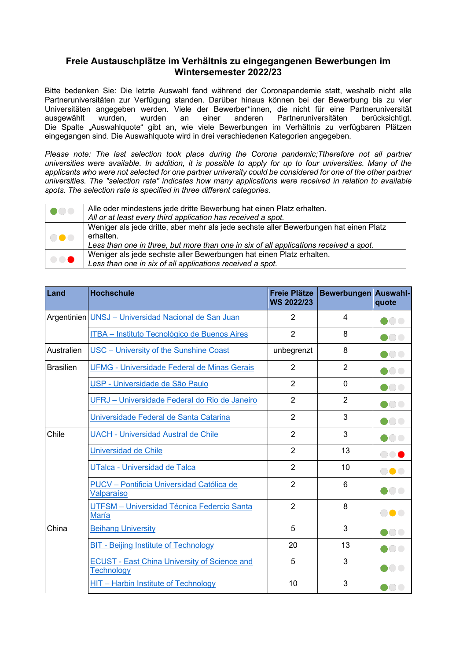## **Freie Austauschplätze im Verhältnis zu eingegangenen Bewerbungen im Wintersemester 2022/23**

Bitte bedenken Sie: Die letzte Auswahl fand während der Coronapandemie statt, weshalb nicht alle Partneruniversitäten zur Verfügung standen. Darüber hinaus können bei der Bewerbung bis zu vier Universitäten angegeben werden. Viele der Bewerber\*innen, die nicht für eine Partneruniversität ausgewählt wurden, wurden an einer anderen Partneruniversitäten berücksichtigt. Die Spalte "Auswahlquote" gibt an, wie viele Bewerbungen im Verhältnis zu verfügbaren Plätzen eingegangen sind. Die Auswahlquote wird in drei verschiedenen Kategorien angegeben.

*Please note: The last selection took place during the Corona pandemic; Ttherefore not all partner universities were available. In addition, it is possible to apply for up to four universities. Many of the*  applicants who were not selected for one partner university could be considered for one of the other partner *universities. The "selection rate" indicates how many applications were received in relation to available spots. The selection rate is specified in three different categories.*

| 1000       | Alle oder mindestens jede dritte Bewerbung hat einen Platz erhalten.                  |
|------------|---------------------------------------------------------------------------------------|
|            | All or at least every third application has received a spot.                          |
| <b>DOO</b> | Weniger als jede dritte, aber mehr als jede sechste aller Bewerbungen hat einen Platz |
|            | erhalten.                                                                             |
|            | Less than one in three, but more than one in six of all applications received a spot. |
| 000        | Weniger als jede sechste aller Bewerbungen hat einen Platz erhalten.                  |
|            | Less than one in six of all applications received a spot.                             |

| Land             | <b>Hochschule</b>                                                        | <b>Freie Plätze</b><br><b>WS 2022/23</b> | <b>Bewerbungen Auswahl-</b> | quote                                                                       |
|------------------|--------------------------------------------------------------------------|------------------------------------------|-----------------------------|-----------------------------------------------------------------------------|
|                  | Argentinien UNSJ - Universidad Nacional de San Juan                      | $\overline{2}$                           | 4                           | $\bullet\bullet\bullet$                                                     |
|                  | ITBA - Instituto Tecnológico de Buenos Aires                             | $\overline{2}$                           | 8                           |                                                                             |
| Australien       | USC - University of the Sunshine Coast                                   | unbegrenzt                               | 8                           |                                                                             |
| <b>Brasilien</b> | <b>UFMG - Universidade Federal de Minas Gerais</b>                       | $\overline{2}$                           | 2                           |                                                                             |
|                  | USP - Universidade de São Paulo                                          | $\overline{2}$                           | $\mathbf{0}$                | $\bullet\hspace{-4.5pt}\bullet\hspace{-4.5pt}\bullet\hspace{-4.5pt}\bullet$ |
|                  | UFRJ - Universidade Federal do Rio de Janeiro                            | $\overline{2}$                           | $\overline{2}$              | $\bullet\hspace{-4.5pt}\bullet\hspace{-4.5pt}\bullet\hspace{-4.5pt}\bullet$ |
|                  | Universidade Federal de Santa Catarina                                   | $\overline{2}$                           | 3                           | $\bullet$ or                                                                |
| Chile            | <b>UACH - Universidad Austral de Chile</b>                               | $\overline{2}$                           | 3                           | $\bullet\hspace{-4.5pt}\bullet\hspace{-4.5pt}\bullet$                       |
|                  | Universidad de Chile                                                     | $\overline{2}$                           | 13                          | $\bullet \bullet$                                                           |
|                  | <b>UTalca - Universidad de Talca</b>                                     | $\overline{2}$                           | 10                          | <b>000</b>                                                                  |
|                  | PUCV - Pontificia Universidad Católica de<br>Valparaíso                  | $\overline{2}$                           | 6                           | $\bullet\bullet\bullet$                                                     |
|                  | UTFSM - Universidad Técnica Federcio Santa<br>María                      | $\overline{2}$                           | 8                           | <b></b>                                                                     |
| China            | <b>Beihang University</b>                                                | 5                                        | 3                           | $\bullet$ . The set of $\bullet$                                            |
|                  | <b>BIT - Beijing Institute of Technology</b>                             | 20                                       | 13                          | DOC                                                                         |
|                  | <b>ECUST - East China University of Science and</b><br><b>Technology</b> | 5                                        | 3                           | $\bullet$ 000                                                               |
|                  | <b>HIT - Harbin Institute of Technology</b>                              | 10                                       | 3                           | $\bullet\bullet\bullet$                                                     |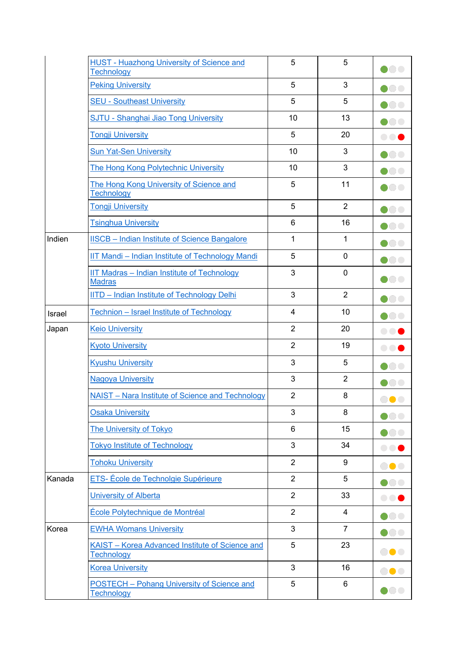|        | <b>HUST - Huazhong University of Science and</b><br>Technology  | 5              | 5              | DOO                                                                         |
|--------|-----------------------------------------------------------------|----------------|----------------|-----------------------------------------------------------------------------|
|        | <b>Peking University</b>                                        | 5              | 3              | $\bullet\hspace{-4.5pt}\bullet\hspace{-4.5pt}\bullet$                       |
|        | <b>SEU - Southeast University</b>                               | 5              | 5              | $\bullet$ . The set of $\bullet$                                            |
|        | <b>SJTU - Shanghai Jiao Tong University</b>                     | 10             | 13             | $\bullet\bullet\bullet$                                                     |
|        | <b>Tongji University</b>                                        | 5              | 20             | $\bigcirc$ or                                                               |
|        | <b>Sun Yat-Sen University</b>                                   | 10             | 3              | $\bullet\bullet\bullet$                                                     |
|        | The Hong Kong Polytechnic University                            | 10             | 3              | $\bullet\bullet\bullet$                                                     |
|        | The Hong Kong University of Science and<br><b>Technology</b>    | 5              | 11             | $\blacksquare$                                                              |
|        | <b>Tongji University</b>                                        | 5              | $\overline{2}$ | DOC                                                                         |
|        | <b>Tsinghua University</b>                                      | 6              | 16             |                                                                             |
| Indien | <b>IISCB</b> - Indian Institute of Science Bangalore            | $\mathbf{1}$   | $\mathbf{1}$   | DOC                                                                         |
|        | <b>IIT Mandi - Indian Institute of Technology Mandi</b>         | 5              | $\overline{0}$ | $\bullet\bullet\bullet$                                                     |
|        | IIT Madras - Indian Institute of Technology<br><b>Madras</b>    | 3              | 0              | $\bullet\hspace{-4.5pt}\bullet\hspace{-4.5pt}\bullet$                       |
|        | <b>IITD - Indian Institute of Technology Delhi</b>              | 3              | $\overline{2}$ | $\bullet\bullet\bullet$                                                     |
| Israel | Technion - Israel Institute of Technology                       | $\overline{4}$ | 10             | $\bullet\bullet\bullet$                                                     |
| Japan  | <b>Keio University</b>                                          | $\overline{2}$ | 20             | $\bigcirc$ $\bigcirc$                                                       |
|        | <b>Kyoto University</b>                                         | $\overline{2}$ | 19             |                                                                             |
|        | <b>Kyushu University</b>                                        | 3              | 5              | $\bullet$ 0 0                                                               |
|        | <b>Nagoya University</b>                                        | 3              | $\overline{2}$ | $\bullet\hspace{-4.5pt}\bullet\hspace{-4.5pt}\bullet$                       |
|        | NAIST - Nara Institute of Science and Technology                | $\overline{2}$ | 8              | <b>OOO</b>                                                                  |
|        | <b>Osaka University</b>                                         | 3              | 8              | DOO                                                                         |
|        | <b>The University of Tokyo</b>                                  | 6              | 15             | 000                                                                         |
|        | <b>Tokyo Institute of Technology</b>                            | 3              | 34             | $\bigcirc$                                                                  |
|        | <b>Tohoku University</b>                                        | $\overline{2}$ | 9              | 80 C                                                                        |
| Kanada | ETS- École de Technolgie Supérieure                             | $\overline{2}$ | 5              | $\bullet\hspace{-4.5pt}\bullet\hspace{-4.5pt}\bullet$                       |
|        | <b>University of Alberta</b>                                    | $\overline{2}$ | 33             | $\bullet$ $\bullet$ (                                                       |
|        | École Polytechnique de Montréal                                 | $\overline{2}$ | $\overline{4}$ | $\bullet\bullet\bullet$                                                     |
| Korea  | <b>EWHA Womans University</b>                                   | 3              | $\overline{7}$ | $\bullet\hspace{-4.5pt}\bullet\hspace{-4.5pt}\bullet\hspace{-4.5pt}\bullet$ |
|        | KAIST - Korea Advanced Institute of Science and<br>Technology   | 5              | 23             | ●●●                                                                         |
|        | <b>Korea University</b>                                         | 3              | 16             | $\bullet\bullet\bullet$                                                     |
|        | <b>POSTECH</b> - Pohang University of Science and<br>Technology | 5              | 6              | $\bullet\bullet\bullet$                                                     |